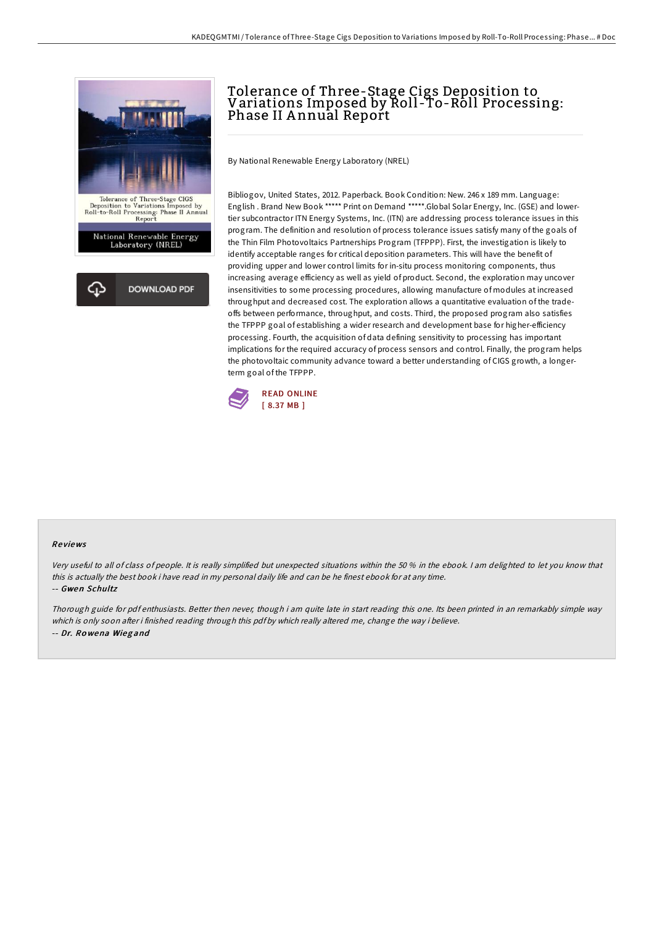

# Tolerance of Three-Stage Cigs Deposition to Variations Imposed by Roll -To-Roll Processing: Phase II Annual Report

By National Renewable Energy Laboratory (NREL)

Bibliogov, United States, 2012. Paperback. Book Condition: New. 246 x 189 mm. Language: English . Brand New Book \*\*\*\*\* Print on Demand \*\*\*\*\*.Global Solar Energy, Inc. (GSE) and lowertier subcontractor ITN Energy Systems, Inc. (ITN) are addressing process tolerance issues in this program. The definition and resolution of process tolerance issues satisfy many of the goals of the Thin Film Photovoltaics Partnerships Program (TFPPP). First, the investigation is likely to identify acceptable ranges for critical deposition parameters. This will have the benefit of providing upper and lower control limits for in-situ process monitoring components, thus increasing average efficiency as well as yield of product. Second, the exploration may uncover insensitivities to some processing procedures, allowing manufacture of modules at increased throughput and decreased cost. The exploration allows a quantitative evaluation of the tradeoffs between performance, throughput, and costs. Third, the proposed program also satisfies the TFPPP goal of establishing a wider research and development base for higher-efficiency processing. Fourth, the acquisition of data defining sensitivity to processing has important implications for the required accuracy of process sensors and control. Finally, the program helps the photovoltaic community advance toward a better understanding of CIGS growth, a longerterm goal of the TFPPP.



#### Re views

Very useful to all of class of people. It is really simplified but unexpected situations within the 50 % in the ebook. <sup>I</sup> am delighted to let you know that this is actually the best book i have read in my personal daily life and can be he finest ebook for at any time. -- Gwen Schultz

Thorough guide for pdf enthusiasts. Better then never, though i am quite late in start reading this one. Its been printed in an remarkably simple way which is only soon after i finished reading through this pdf by which really altered me, change the way i believe. -- Dr. Ro wena Wieg and